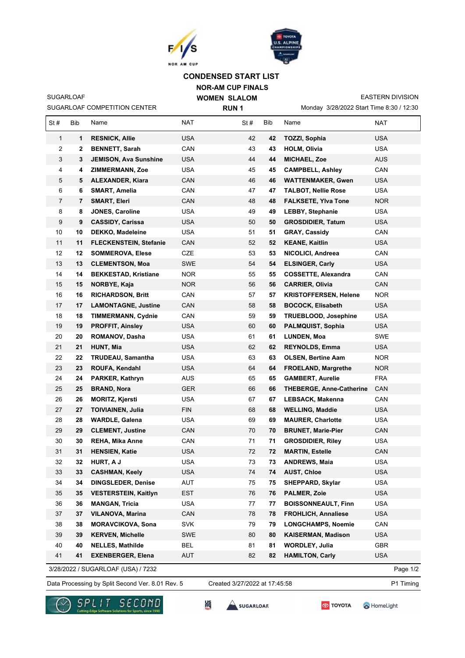

SUGARLOAF COMPETITION CENTER

SUGARLOAF



## **NOR-AM CUP FINALS CONDENSED START LIST**

**WOMEN SLALOM RUN 1**

Monday 3/28/2022 Start Time 8:30 / 12:30 EASTERN DIVISION

| St#                                            | Bib | Name                          | NAT        | St# | Bib | Name                            | NAT        |  |  |  |
|------------------------------------------------|-----|-------------------------------|------------|-----|-----|---------------------------------|------------|--|--|--|
| $\mathbf{1}$                                   | 1   | <b>RESNICK, Allie</b>         | <b>USA</b> | 42  | 42  | TOZZI, Sophia                   | <b>USA</b> |  |  |  |
| 2                                              | 2   | <b>BENNETT, Sarah</b>         | CAN        | 43  | 43  | <b>HOLM, Olivia</b>             | <b>USA</b> |  |  |  |
| 3                                              | 3   | <b>JEMISON, Ava Sunshine</b>  | <b>USA</b> | 44  | 44  | <b>MICHAEL, Zoe</b>             | <b>AUS</b> |  |  |  |
| 4                                              | 4   | <b>ZIMMERMANN, Zoe</b>        | <b>USA</b> | 45  | 45  | <b>CAMPBELL, Ashley</b>         | CAN        |  |  |  |
| 5                                              | 5   | <b>ALEXANDER, Kiara</b>       | <b>CAN</b> | 46  | 46  | <b>WATTENMAKER, Gwen</b>        | <b>USA</b> |  |  |  |
| 6                                              | 6   | SMART, Amelia                 | CAN        | 47  | 47  | <b>TALBOT, Nellie Rose</b>      | <b>USA</b> |  |  |  |
| 7                                              | 7   | <b>SMART, Eleri</b>           | CAN        | 48  | 48  | <b>FALKSETE, Ylva Tone</b>      | NOR.       |  |  |  |
| 8                                              | 8   | <b>JONES, Caroline</b>        | <b>USA</b> | 49  | 49  | <b>LEBBY, Stephanie</b>         | USA        |  |  |  |
| 9                                              | 9   | <b>CASSIDY, Carissa</b>       | <b>USA</b> | 50  | 50  | <b>GROSDIDIER, Tatum</b>        | <b>USA</b> |  |  |  |
| 10                                             | 10  | <b>DEKKO, Madeleine</b>       | <b>USA</b> | 51  | 51  | <b>GRAY, Cassidy</b>            | CAN        |  |  |  |
| 11                                             | 11  | <b>FLECKENSTEIN, Stefanie</b> | <b>CAN</b> | 52  | 52  | <b>KEANE, Kaitlin</b>           | <b>USA</b> |  |  |  |
| 12                                             | 12  | <b>SOMMEROVA, Elese</b>       | CZE        | 53  | 53  | NICOLICI, Andreea               | CAN        |  |  |  |
| 13                                             | 13  | <b>CLEMENTSON, Moa</b>        | <b>SWE</b> | 54  | 54  | <b>ELSINGER, Carly</b>          | <b>USA</b> |  |  |  |
| 14                                             | 14  | <b>BEKKESTAD, Kristiane</b>   | <b>NOR</b> | 55  | 55  | <b>COSSETTE, Alexandra</b>      | CAN        |  |  |  |
| 15                                             | 15  | NORBYE, Kaja                  | <b>NOR</b> | 56  | 56  | <b>CARRIER, Olivia</b>          | <b>CAN</b> |  |  |  |
| 16                                             | 16  | <b>RICHARDSON, Britt</b>      | CAN        | 57  | 57  | <b>KRISTOFFERSEN, Helene</b>    | NOR.       |  |  |  |
| 17                                             | 17  | <b>LAMONTAGNE, Justine</b>    | CAN        | 58  | 58  | <b>BOCOCK, Elisabeth</b>        | <b>USA</b> |  |  |  |
| 18                                             | 18  | <b>TIMMERMANN, Cydnie</b>     | CAN        | 59  | 59  | <b>TRUEBLOOD, Josephine</b>     | USA        |  |  |  |
| 19                                             | 19  | <b>PROFFIT, Ainsley</b>       | <b>USA</b> | 60  | 60  | PALMQUIST, Sophia               | <b>USA</b> |  |  |  |
| 20                                             | 20  | ROMANOV, Dasha                | <b>USA</b> | 61  | 61  | LUNDEN, Moa                     | <b>SWE</b> |  |  |  |
| 21                                             | 21  | HUNT, Mia                     | <b>USA</b> | 62  | 62  | REYNOLDS, Emma                  | <b>USA</b> |  |  |  |
| 22                                             | 22  | <b>TRUDEAU, Samantha</b>      | <b>USA</b> | 63  | 63  | <b>OLSEN, Bertine Aam</b>       | <b>NOR</b> |  |  |  |
| 23                                             | 23  | ROUFA, Kendahl                | <b>USA</b> | 64  | 64  | <b>FROELAND, Margrethe</b>      | NOR.       |  |  |  |
| 24                                             | 24  | PARKER, Kathryn               | <b>AUS</b> | 65  | 65  | <b>GAMBERT, Aurelie</b>         | <b>FRA</b> |  |  |  |
| 25                                             | 25  | <b>BRAND, Nora</b>            | <b>GER</b> | 66  | 66  | <b>THEBERGE, Anne-Catherine</b> | CAN        |  |  |  |
| 26                                             | 26  | <b>MORITZ, Kjersti</b>        | <b>USA</b> | 67  | 67  | LEBSACK, Makenna                | CAN        |  |  |  |
| 27                                             | 27  | <b>TOIVIAINEN, Julia</b>      | <b>FIN</b> | 68  | 68  | <b>WELLING, Maddie</b>          | <b>USA</b> |  |  |  |
| 28                                             | 28  | <b>WARDLE, Galena</b>         | <b>USA</b> | 69  | 69  | <b>MAURER, Charlotte</b>        | <b>USA</b> |  |  |  |
| 29                                             | 29  | <b>CLEMENT, Justine</b>       | CAN        | 70  | 70  | <b>BRUNET, Marie-Pier</b>       | CAN        |  |  |  |
| 30                                             | 30  | <b>REHA, Mika Anne</b>        | CAN        | 71  | 71  | <b>GROSDIDIER, Riley</b>        | <b>USA</b> |  |  |  |
| 31                                             | 31  | <b>HENSIEN, Katie</b>         | <b>USA</b> | 72  | 72  | <b>MARTIN, Estelle</b>          | CAN        |  |  |  |
| 32                                             | 32  | <b>HURT, A J</b>              | <b>USA</b> | 73  | 73  | <b>ANDREWS, Maia</b>            | <b>USA</b> |  |  |  |
| 33                                             | 33  | <b>CASHMAN, Keely</b>         | <b>USA</b> | 74  | 74  | <b>AUST, Chloe</b>              | <b>USA</b> |  |  |  |
| 34                                             | 34  | <b>DINGSLEDER, Denise</b>     | AUT        | 75  | 75  | <b>SHEPPARD, Skylar</b>         | <b>USA</b> |  |  |  |
| 35                                             | 35  | <b>VESTERSTEIN, Kaitlyn</b>   | <b>EST</b> | 76  | 76  | PALMER, Zoie                    | <b>USA</b> |  |  |  |
| 36                                             | 36  | <b>MANGAN, Tricia</b>         | <b>USA</b> | 77  | 77  | <b>BOISSONNEAULT, Finn</b>      | <b>USA</b> |  |  |  |
| 37                                             | 37  | <b>VILANOVA, Marina</b>       | CAN        | 78  | 78  | <b>FROHLICH, Annaliese</b>      | <b>USA</b> |  |  |  |
| 38                                             | 38  | <b>MORAVCIKOVA, Sona</b>      | <b>SVK</b> | 79  | 79  | <b>LONGCHAMPS, Noemie</b>       | CAN        |  |  |  |
| 39                                             | 39  | <b>KERVEN, Michelle</b>       | SWE        | 80  | 80  | <b>KAISERMAN, Madison</b>       | <b>USA</b> |  |  |  |
| 40                                             | 40  | <b>NELLES, Mathilde</b>       | <b>BEL</b> | 81  | 81  | <b>WORDLEY, Julia</b>           | GBR        |  |  |  |
| 41                                             | 41  | <b>EXENBERGER, Elena</b>      | <b>AUT</b> | 82  | 82  | <b>HAMILTON, Carly</b>          | <b>USA</b> |  |  |  |
| 3/28/2022 / SUGARLOAF (USA) / 7232<br>Page 1/2 |     |                               |            |     |     |                                 |            |  |  |  |

Data Processing by Split Second Ver. 8.01 Rev. 5 Created 3/27/2022 at 17:45:58 P1 Timing Created 3/27/2022 at 17:45:58

Page 1/2





SUGARLOAR

HomeLight